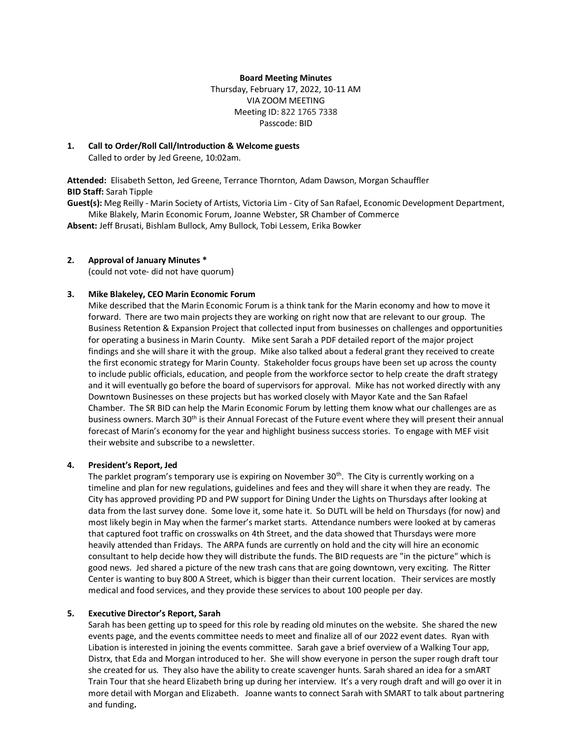#### **Board Meeting Minutes**

Thursday, February 17, 2022, 10-11 AM VIA ZOOM MEETING Meeting ID: 822 1765 7338 Passcode: BID

### **1. Call to Order/Roll Call/Introduction & Welcome guests**

Called to order by Jed Greene, 10:02am.

**Attended:** Elisabeth Setton, Jed Greene, Terrance Thornton, Adam Dawson, Morgan Schauffler **BID Staff:** Sarah Tipple

**Guest(s):** Meg Reilly - Marin Society of Artists, Victoria Lim - City of San Rafael, Economic Development Department, Mike Blakely, Marin Economic Forum, Joanne Webster, SR Chamber of Commerce

**Absent:** Jeff Brusati, Bishlam Bullock, Amy Bullock, Tobi Lessem, Erika Bowker

#### **2. Approval of January Minutes \***

(could not vote- did not have quorum)

#### **3. Mike Blakeley, CEO Marin Economic Forum**

Mike described that the Marin Economic Forum is a think tank for the Marin economy and how to move it forward. There are two main projects they are working on right now that are relevant to our group. The Business Retention & Expansion Project that collected input from businesses on challenges and opportunities for operating a business in Marin County. Mike sent Sarah a PDF detailed report of the major project findings and she will share it with the group. Mike also talked about a federal grant they received to create the first economic strategy for Marin County. Stakeholder focus groups have been set up across the county to include public officials, education, and people from the workforce sector to help create the draft strategy and it will eventually go before the board of supervisors for approval. Mike has not worked directly with any Downtown Businesses on these projects but has worked closely with Mayor Kate and the San Rafael Chamber. The SR BID can help the Marin Economic Forum by letting them know what our challenges are as business owners. March 30<sup>th</sup> is their Annual Forecast of the Future event where they will present their annual forecast of Marin's economy for the year and highlight business success stories. To engage with MEF visit their website and subscribe to a newsletter.

#### **4. President's Report, Jed**

The parklet program's temporary use is expiring on November  $30<sup>th</sup>$ . The City is currently working on a timeline and plan for new regulations, guidelines and fees and they will share it when they are ready. The City has approved providing PD and PW support for Dining Under the Lights on Thursdays after looking at data from the last survey done. Some love it, some hate it. So DUTL will be held on Thursdays (for now) and most likely begin in May when the farmer's market starts. Attendance numbers were looked at by cameras that captured foot traffic on crosswalks on 4th Street, and the data showed that Thursdays were more heavily attended than Fridays. The ARPA funds are currently on hold and the city will hire an economic consultant to help decide how they will distribute the funds. The BID requests are "in the picture" which is good news. Jed shared a picture of the new trash cans that are going downtown, very exciting. The Ritter Center is wanting to buy 800 A Street, which is bigger than their current location. Their services are mostly medical and food services, and they provide these services to about 100 people per day.

#### **5. Executive Director's Report, Sarah**

Sarah has been getting up to speed for this role by reading old minutes on the website. She shared the new events page, and the events committee needs to meet and finalize all of our 2022 event dates. Ryan with Libation is interested in joining the events committee. Sarah gave a brief overview of a Walking Tour app, Distrx, that Eda and Morgan introduced to her. She will show everyone in person the super rough draft tour she created for us. They also have the ability to create scavenger hunts. Sarah shared an idea for a smART Train Tour that she heard Elizabeth bring up during her interview. It's a very rough draft and will go over it in more detail with Morgan and Elizabeth. Joanne wants to connect Sarah with SMART to talk about partnering and funding**.**